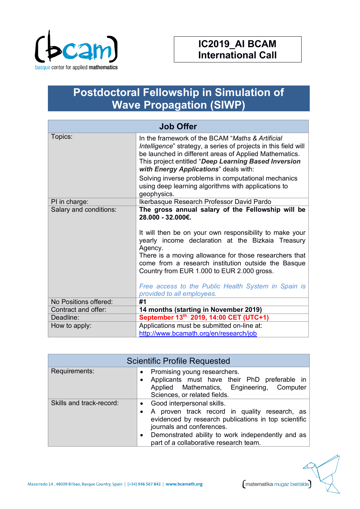

## **Postdoctoral Fellowship in Simulation of Wave Propagation (SIWP)**

| <b>Job Offer</b>       |                                                                                                                                                                                                                                                                                                                                                                                                                                                       |  |
|------------------------|-------------------------------------------------------------------------------------------------------------------------------------------------------------------------------------------------------------------------------------------------------------------------------------------------------------------------------------------------------------------------------------------------------------------------------------------------------|--|
| Topics:                | In the framework of the BCAM "Maths & Artificial<br>Intelligence" strategy, a series of projects in this field will<br>be launched in different areas of Applied Mathematics.<br>This project entitled "Deep Learning Based Inversion<br>with Energy Applications" deals with:                                                                                                                                                                        |  |
|                        | Solving inverse problems in computational mechanics<br>using deep learning algorithms with applications to<br>geophysics.                                                                                                                                                                                                                                                                                                                             |  |
| PI in charge:          | Ikerbasque Research Professor David Pardo                                                                                                                                                                                                                                                                                                                                                                                                             |  |
| Salary and conditions: | The gross annual salary of the Fellowship will be<br>28.000 - 32.000€.<br>It will then be on your own responsibility to make your<br>yearly income declaration at the Bizkaia Treasury<br>Agency.<br>There is a moving allowance for those researchers that<br>come from a research institution outside the Basque<br>Country from EUR 1.000 to EUR 2.000 gross.<br>Free access to the Public Health System in Spain is<br>provided to all employees. |  |
| No Positions offered:  | #1                                                                                                                                                                                                                                                                                                                                                                                                                                                    |  |
| Contract and offer:    | 14 months (starting in November 2019)                                                                                                                                                                                                                                                                                                                                                                                                                 |  |
| Deadline:              | September 13th 2019, 14:00 CET (UTC+1)                                                                                                                                                                                                                                                                                                                                                                                                                |  |
| How to apply:          | Applications must be submitted on-line at:<br>http://www.bcamath.org/en/research/job                                                                                                                                                                                                                                                                                                                                                                  |  |

| <b>Scientific Profile Requested</b> |                                                                                                                                                                                                                                                                                |  |
|-------------------------------------|--------------------------------------------------------------------------------------------------------------------------------------------------------------------------------------------------------------------------------------------------------------------------------|--|
| Requirements:                       | Promising young researchers.<br>$\bullet$<br>Applicants must have their PhD preferable in<br>Applied Mathematics, Engineering, Computer<br>Sciences, or related fields.                                                                                                        |  |
| Skills and track-record:            | • Good interpersonal skills.<br>A proven track record in quality research, as<br>evidenced by research publications in top scientific<br>journals and conferences.<br>Demonstrated ability to work independently and as<br>$\bullet$<br>part of a collaborative research team. |  |

Mazarredo 14, 48009 Bilbao, Basque Country, Spain | (+34) 946 567 842 | www.bcamath.org

matematika mugaz bestalde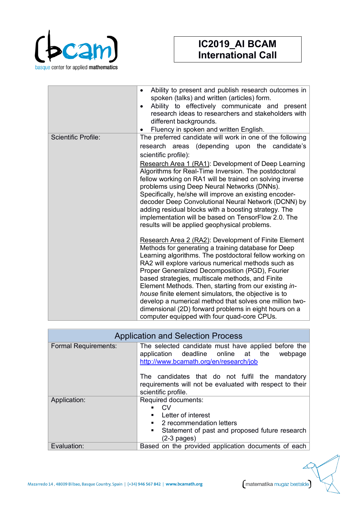

|                            | Ability to present and publish research outcomes in<br>٠<br>spoken (talks) and written (articles) form.<br>Ability to effectively communicate and present<br>$\bullet$<br>research ideas to researchers and stakeholders with<br>different backgrounds.<br>Fluency in spoken and written English.                                                                                                                                                                                                                                                                                                                       |
|----------------------------|-------------------------------------------------------------------------------------------------------------------------------------------------------------------------------------------------------------------------------------------------------------------------------------------------------------------------------------------------------------------------------------------------------------------------------------------------------------------------------------------------------------------------------------------------------------------------------------------------------------------------|
| <b>Scientific Profile:</b> | The preferred candidate will work in one of the following                                                                                                                                                                                                                                                                                                                                                                                                                                                                                                                                                               |
|                            | research areas (depending upon the candidate's                                                                                                                                                                                                                                                                                                                                                                                                                                                                                                                                                                          |
|                            | scientific profile):                                                                                                                                                                                                                                                                                                                                                                                                                                                                                                                                                                                                    |
|                            | Research Area 1 (RA1): Development of Deep Learning<br>Algorithms for Real-Time Inversion. The postdoctoral<br>fellow working on RA1 will be trained on solving inverse<br>problems using Deep Neural Networks (DNNs).<br>Specifically, he/she will improve an existing encoder-<br>decoder Deep Convolutional Neural Network (DCNN) by<br>adding residual blocks with a boosting strategy. The<br>implementation will be based on TensorFlow 2.0. The<br>results will be applied geophysical problems.                                                                                                                 |
|                            | Research Area 2 (RA2): Development of Finite Element<br>Methods for generating a training database for Deep<br>Learning algorithms. The postdoctoral fellow working on<br>RA2 will explore various numerical methods such as<br>Proper Generalized Decomposition (PGD), Fourier<br>based strategies, multiscale methods, and Finite<br>Element Methods. Then, starting from our existing in-<br>house finite element simulators, the objective is to<br>develop a numerical method that solves one million two-<br>dimensional (2D) forward problems in eight hours on a<br>computer equipped with four quad-core CPUs. |

| <b>Application and Selection Process</b> |                                                                                                                                                                                |  |
|------------------------------------------|--------------------------------------------------------------------------------------------------------------------------------------------------------------------------------|--|
| <b>Formal Requirements:</b>              | The selected candidate must have applied before the<br>application deadline online at the<br>webpage<br>http://www.bcamath.org/en/research/job                                 |  |
|                                          | The candidates that do not fulfil the mandatory<br>requirements will not be evaluated with respect to their<br>scientific profile.                                             |  |
| Application:                             | Required documents:<br>CV.<br>$\blacksquare$<br>Letter of interest<br>٠<br>2 recommendation letters<br>٠<br>Statement of past and proposed future research<br>٠<br>(2-3 pages) |  |
| Evaluation:                              | Based on the provided application documents of each                                                                                                                            |  |